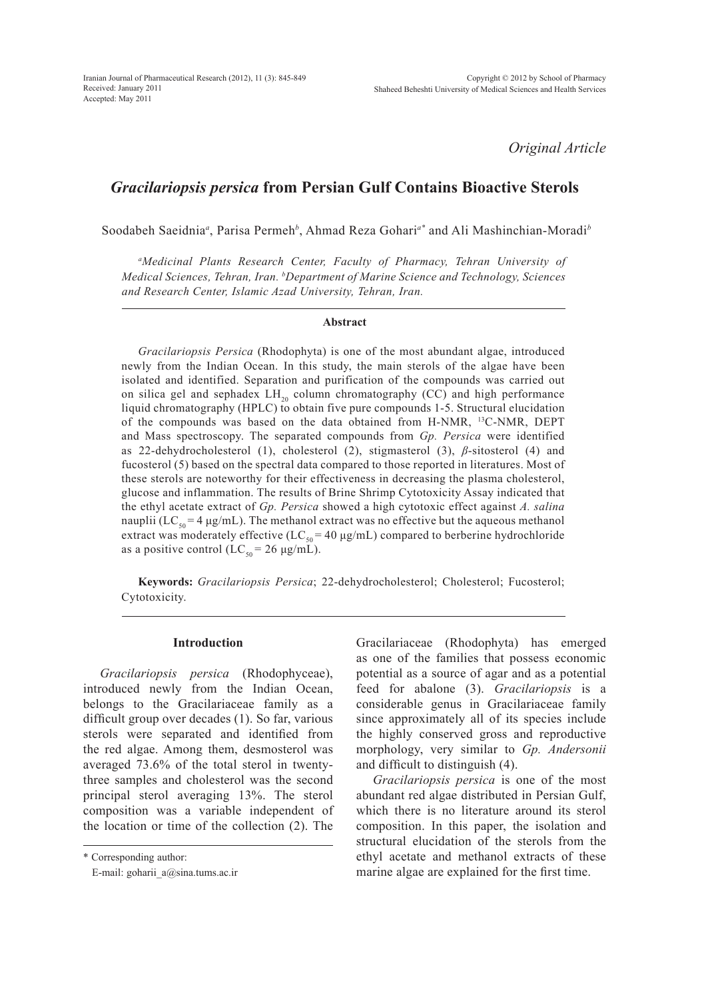*Original Article*

# *Gracilariopsis persica* **from Persian Gulf Contains Bioactive Sterols**

Soodabeh Saeidnia*<sup>a</sup>* , Parisa Permeh*<sup>b</sup>* , Ahmad Reza Gohari*a\** and Ali Mashinchian-Moradi*<sup>b</sup>*

*a Medicinal Plants Research Center, Faculty of Pharmacy, Tehran University of Medical Sciences, Tehran, Iran. b Department of Marine Science and Technology, Sciences and Research Center, Islamic Azad University, Tehran, Iran.*

# **Abstract**

*Gracilariopsis Persica* (Rhodophyta) is one of the most abundant algae, introduced newly from the Indian Ocean. In this study, the main sterols of the algae have been isolated and identified. Separation and purification of the compounds was carried out on silica gel and sephadex  $LH_{20}$  column chromatography (CC) and high performance liquid chromatography (HPLC) to obtain five pure compounds 1-5. Structural elucidation of the compounds was based on the data obtained from H-NMR, 13C-NMR, DEPT and Mass spectroscopy. The separated compounds from *Gp. Persica* were identified as 22-dehydrocholesterol (1), cholesterol (2), stigmasterol (3), *β*-sitosterol (4) and fucosterol (5) based on the spectral data compared to those reported in literatures. Most of these sterols are noteworthy for their effectiveness in decreasing the plasma cholesterol, glucose and inflammation. The results of Brine Shrimp Cytotoxicity Assay indicated that the ethyl acetate extract of *Gp. Persica* showed a high cytotoxic effect against *A. salina* nauplii (LC<sub>50</sub> = 4  $\mu$ g/mL). The methanol extract was no effective but the aqueous methanol extract was moderately effective (LC<sub>50</sub> = 40  $\mu$ g/mL) compared to berberine hydrochloride as a positive control (LC<sub>50</sub> = 26 μg/mL).

**Keywords:** *Gracilariopsis Persica*; 22-dehydrocholesterol; Cholesterol; Fucosterol; Cytotoxicity.

## **Introduction**

*Gracilariopsis persica* (Rhodophyceae), introduced newly from the Indian Ocean, belongs to the Gracilariaceae family as a difficult group over decades (1). So far, various sterols were separated and identified from the red algae. Among them, desmosterol was averaged 73.6% of the total sterol in twentythree samples and cholesterol was the second principal sterol averaging 13%. The sterol composition was a variable independent of the location or time of the collection (2). The Gracilariaceae (Rhodophyta) has emerged as one of the families that possess economic potential as a source of agar and as a potential feed for abalone (3). *Gracilariopsis* is a considerable genus in Gracilariaceae family since approximately all of its species include the highly conserved gross and reproductive morphology, very similar to *Gp. Andersonii* and difficult to distinguish (4).

*Gracilariopsis persica* is one of the most abundant red algae distributed in Persian Gulf, which there is no literature around its sterol composition. In this paper, the isolation and structural elucidation of the sterols from the ethyl acetate and methanol extracts of these marine algae are explained for the first time.

<sup>\*</sup> Corresponding author:

E-mail: goharii\_a@sina.tums.ac.ir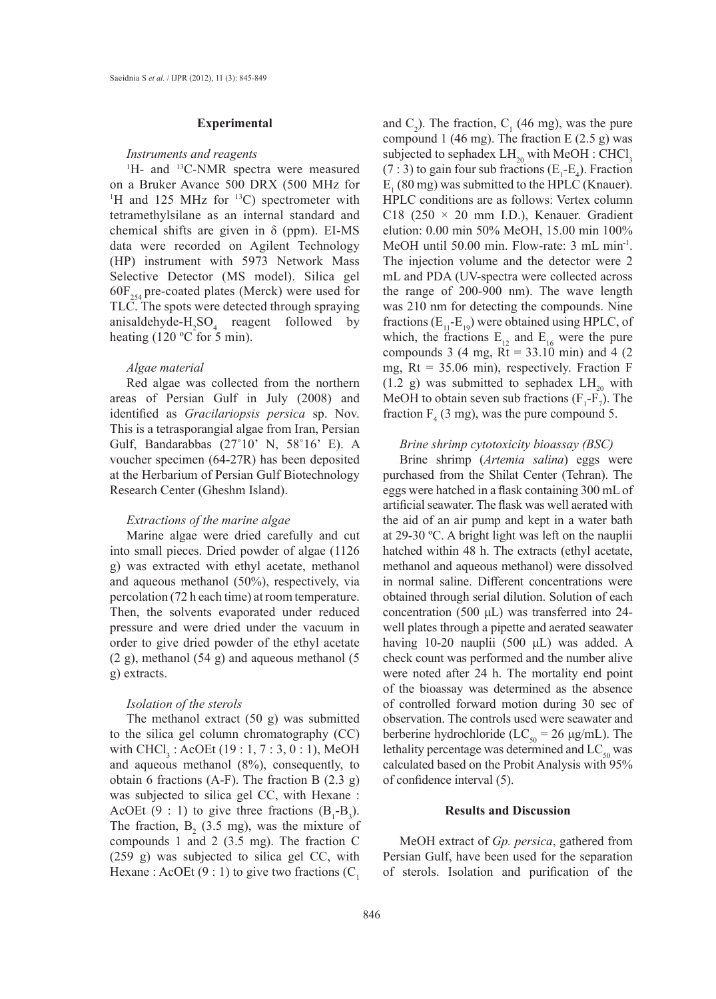#### **Experimental**

## *Instruments and reagents*

<sup>1</sup>H- and <sup>13</sup>C-NMR spectra were measured on a Bruker Avance 500 DRX (500 MHz for <sup>1</sup>H and 125 MHz for  $\rm{^{13}C}$ ) spectrometer with tetramethylsilane as an internal standard and chemical shifts are given in  $\delta$  (ppm). EI-MS data were recorded on Agilent Technology (HP) instrument with 5973 Network Mass Selective Detector (MS model). Silica gel  $60F_{254}$  pre-coated plates (Merck) were used for TLC. The spots were detected through spraying anisaldehyde- $H_2SO_4$  reagent followed by heating (120 °C for 5 min).

#### *Algae material*

Red algae was collected from the northern areas of Persian Gulf in July (2008) and identified as *Gracilariopsis persica* sp. Nov. This is a tetrasporangial algae from Iran, Persian Gulf, Bandarabbas (27˚10' N, 58˚16' E). A voucher specimen (64-27R) has been deposited at the Herbarium of Persian Gulf Biotechnology Research Center (Gheshm Island).

# *Extractions of the marine algae*

Marine algae were dried carefully and cut into small pieces. Dried powder of algae (1126 g) was extracted with ethyl acetate, methanol and aqueous methanol (50%), respectively, via percolation (72 h each time) at room temperature. Then, the solvents evaporated under reduced pressure and were dried under the vacuum in order to give dried powder of the ethyl acetate (2 g), methanol (54 g) and aqueous methanol (5 g) extracts.

# *Isolation of the sterols*

The methanol extract (50 g) was submitted to the silica gel column chromatography (CC) with  $CHCl<sub>3</sub>$ : AcOEt (19 : 1, 7 : 3, 0 : 1), MeOH and aqueous methanol (8%), consequently, to obtain 6 fractions (A-F). The fraction B (2.3 g) was subjected to silica gel CC, with Hexane : AcOEt (9 : 1) to give three fractions  $(B_1-B_3)$ . The fraction,  $B_2$  (3.5 mg), was the mixture of compounds 1 and 2 (3.5 mg). The fraction C (259 g) was subjected to silica gel CC, with Hexane : AcOEt  $(9:1)$  to give two fractions  $(C_1)$ 

and  $C_2$ ). The fraction,  $C_1$  (46 mg), was the pure compound 1 (46 mg). The fraction E  $(2.5 g)$  was subjected to sephadex  $LH_{20}$  with MeOH : CHCl<sub>3</sub> (7 : 3) to gain four sub fractions ( $E_1$ - $E_4$ ). Fraction  $E_1$  (80 mg) was submitted to the HPLC (Knauer). HPLC conditions are as follows: Vertex column C18 (250  $\times$  20 mm I.D.), Kenauer. Gradient elution: 0.00 min 50% MeOH, 15.00 min 100% MeOH until 50.00 min. Flow-rate: 3 mL min<sup>-1</sup>. The injection volume and the detector were 2 mL and PDA (UV-spectra were collected across the range of 200-900 nm). The wave length was 210 nm for detecting the compounds. Nine fractions  $(E_{11}-E_{19})$  were obtained using HPLC, of which, the fractions  $E_{12}$  and  $E_{16}$  were the pure compounds 3 (4 mg,  $Rt = 33.10$  min) and 4 (2) mg,  $Rt = 35.06$  min), respectively. Fraction F (1.2 g) was submitted to sephadex  $LH_{20}$  with MeOH to obtain seven sub fractions  $(F_1-F_7)$ . The fraction  $F_4$  (3 mg), was the pure compound 5.

# *Brine shrimp cytotoxicity bioassay (BSC)*

Brine shrimp (*Artemia salina*) eggs were purchased from the Shilat Center (Tehran). The eggs were hatched in a flask containing 300 mL of artificial seawater. The flask was well aerated with the aid of an air pump and kept in a water bath at 29-30 ºC. A bright light was left on the nauplii hatched within 48 h. The extracts (ethyl acetate, methanol and aqueous methanol) were dissolved in normal saline. Different concentrations were obtained through serial dilution. Solution of each concentration (500 μL) was transferred into 24 well plates through a pipette and aerated seawater having 10-20 nauplii (500 μL) was added. A check count was performed and the number alive were noted after 24 h. The mortality end point of the bioassay was determined as the absence of controlled forward motion during 30 sec of observation. The controls used were seawater and berberine hydrochloride (LC<sub>50</sub> = 26 μg/mL). The lethality percentage was determined and  $LC_{50}$  was calculated based on the Probit Analysis with 95% of confidence interval (5).

## **Results and Discussion**

MeOH extract of *Gp. persica*, gathered from Persian Gulf, have been used for the separation of sterols. Isolation and purification of the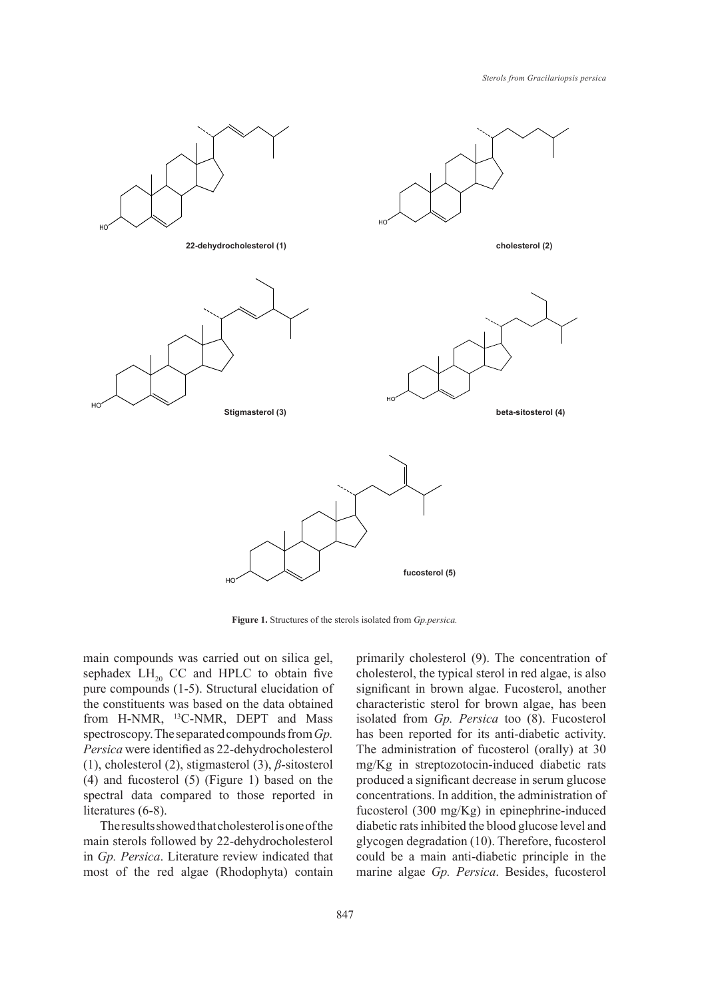

**Figure 1.** Structures of the sterols isolated from *Gp.persica.*

main compounds was carried out on silica gel, sephadex  $LH_{20}$  CC and HPLC to obtain five pure compounds (1-5). Structural elucidation of the constituents was based on the data obtained from H-NMR, 13C-NMR, DEPT and Mass spectroscopy. The separated compounds from *Gp. Persica* were identified as 22-dehydrocholesterol (1), cholesterol (2), stigmasterol (3), *β*-sitosterol (4) and fucosterol (5) (Figure 1) based on the spectral data compared to those reported in literatures (6-8).

The results showed that cholesterol is one of the main sterols followed by 22-dehydrocholesterol in *Gp. Persica*. Literature review indicated that most of the red algae (Rhodophyta) contain primarily cholesterol (9). The concentration of cholesterol, the typical sterol in red algae, is also significant in brown algae. Fucosterol, another characteristic sterol for brown algae, has been isolated from *Gp. Persica* too (8). Fucosterol has been reported for its anti-diabetic activity. The administration of fucosterol (orally) at 30 mg/Kg in streptozotocin-induced diabetic rats produced a significant decrease in serum glucose concentrations. In addition, the administration of fucosterol (300 mg/Kg) in epinephrine-induced diabetic rats inhibited the blood glucose level and glycogen degradation (10). Therefore, fucosterol could be a main anti-diabetic principle in the marine algae *Gp. Persica*. Besides, fucosterol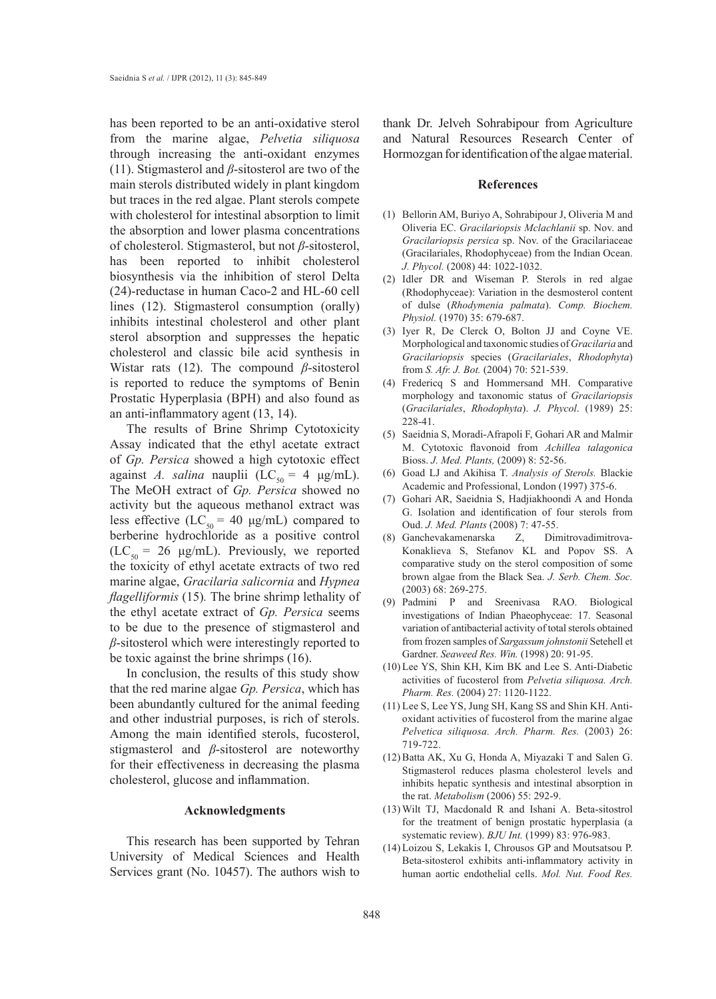has been reported to be an anti-oxidative sterol from the marine algae, *Pelvetia siliquosa*  through increasing the anti-oxidant enzymes (11). Stigmasterol and *β*-sitosterol are two of the main sterols distributed widely in plant kingdom but traces in the red algae. Plant sterols compete with cholesterol for intestinal absorption to limit the absorption and lower plasma concentrations of cholesterol. Stigmasterol, but not *β*-sitosterol, has been reported to inhibit cholesterol biosynthesis via the inhibition of sterol Delta (24)-reductase in human Caco-2 and HL-60 cell lines (12). Stigmasterol consumption (orally) inhibits intestinal cholesterol and other plant sterol absorption and suppresses the hepatic cholesterol and classic bile acid synthesis in Wistar rats (12). The compound *β*-sitosterol is reported to reduce the symptoms of Benin Prostatic Hyperplasia (BPH) and also found as an anti-inflammatory agent (13, 14).

The results of Brine Shrimp Cytotoxicity Assay indicated that the ethyl acetate extract of *Gp. Persica* showed a high cytotoxic effect against *A. salina* nauplii (LC<sub>50</sub> = 4  $\mu$ g/mL). The MeOH extract of *Gp. Persica* showed no activity but the aqueous methanol extract was less effective (LC<sub>50</sub> = 40 μg/mL) compared to berberine hydrochloride as a positive control  $(LC_{50} = 26 \text{ µg/mL})$ . Previously, we reported the toxicity of ethyl acetate extracts of two red marine algae, *Gracilaria salicornia* and *Hypnea flagelliformis* (15)*.* The brine shrimp lethality of the ethyl acetate extract of *Gp. Persica* seems to be due to the presence of stigmasterol and *β*-sitosterol which were interestingly reported to be toxic against the brine shrimps (16).

In conclusion, the results of this study show that the red marine algae *Gp. Persica*, which has been abundantly cultured for the animal feeding and other industrial purposes, is rich of sterols. Among the main identified sterols, fucosterol, stigmasterol and *β*-sitosterol are noteworthy for their effectiveness in decreasing the plasma cholesterol, glucose and inflammation.

# **Acknowledgments**

This research has been supported by Tehran University of Medical Sciences and Health Services grant (No. 10457). The authors wish to

thank Dr. Jelveh Sohrabipour from Agriculture and Natural Resources Research Center of Hormozgan for identification of the algae material.

#### **References**

- (1) Bellorin AM, Buriyo A, Sohrabipour J, Oliveria M and Oliveria EC. *Gracilariopsis Mclachlanii* sp. Nov. and *Gracilariopsis persica* sp. Nov. of the Gracilariaceae (Gracilariales, Rhodophyceae) from the Indian Ocean. *J. Phycol.* (2008) 44: 1022-1032.
- (2) Idler DR and Wiseman P. Sterols in red algae (Rhodophyceae): Variation in the desmosterol content of dulse (*Rhodymenia palmata*). *Comp. Biochem. Physiol.* (1970) 35: 679-687.
- (3) Iyer R, De Clerck O, Bolton JJ and Coyne VE. Morphological and taxonomic studies of *Gracilaria* and *Gracilariopsis* species (*Gracilariales*, *Rhodophyta*) from *S. Afr. J. Bot.* (2004) 70: 521-539.
- Fredericq S and Hommersand MH. Comparative (4) morphology and taxonomic status of *Gracilariopsis* (*Gracilariales*, *Rhodophyta*). *J. Phycol*. (1989) 25: 228-41.
- (5) Saeidnia S, Moradi-Afrapoli F, Gohari AR and Malmir M. Cytotoxic flavonoid from *Achillea talagonica*  Bioss. *J. Med. Plants,* (2009) 8: 52-56.
- Goad LJ and Akihisa T. *Analysis of Sterols.* Blackie (6) Academic and Professional, London (1997) 375-6.
- Gohari AR, Saeidnia S, Hadjiakhoondi A and Honda (7) G. Isolation and identification of four sterols from Oud. *J. Med. Plants* (2008) 7: 47-55.
- Ganchevakamenarska Z, Dimitrovadimitrova-(8) Konaklieva S, Stefanov KL and Popov SS. A comparative study on the sterol composition of some brown algae from the Black Sea. *J. Serb. Chem. Soc.* (2003) 68: 269-275.
- Padmini P and Sreenivasa RAO. Biological (9) investigations of Indian Phaeophyceae: 17. Seasonal variation of antibacterial activity of total sterols obtained from frozen samples of *Sargassum johnstonii* Setehell et Gardner. *Seaweed Res. Win.* (1998) 20: 91-95.
- (10) Lee YS, Shin KH, Kim BK and Lee S. Anti-Diabetic activities of fucosterol from *Pelvetia siliquosa. Arch. Pharm. Res.* (2004) 27: 1120-1122.
- (11) Lee S, Lee YS, Jung SH, Kang SS and Shin KH. Antioxidant activities of fucosterol from the marine algae *Pelvetica siliquosa. Arch. Pharm. Res.* (2003) 26: 719-722.
- (12) Batta AK, Xu G, Honda A, Miyazaki T and Salen G. Stigmasterol reduces plasma cholesterol levels and inhibits hepatic synthesis and intestinal absorption in the rat. *Metabolism* (2006) 55: 292-9.
- Wilt TJ, Macdonald R and Ishani A. Beta-sitostrol (13) for the treatment of benign prostatic hyperplasia (a systematic review). *BJU Int.* (1999) 83: 976-983.
- Loizou S, Lekakis I, Chrousos GP and Moutsatsou P. (14)Beta-sitosterol exhibits anti-inflammatory activity in human aortic endothelial cells. *Mol. Nut. Food Res.*